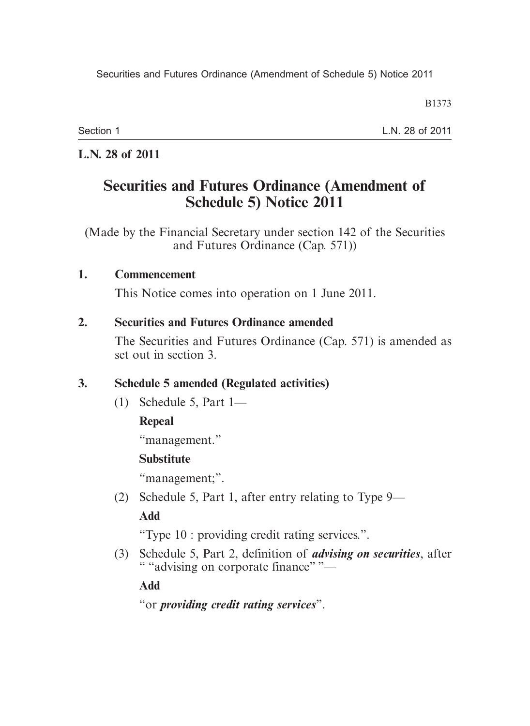B1373

Section 1

L.N. 28 of 2011

# **L.N. 28 of 2011**

# **Securities and Futures Ordinance (Amendment of Schedule 5) Notice 2011**

(Made by the Financial Secretary under section 142 of the Securities and Futures Ordinance (Cap. 571))

#### **1. Commencement**

This Notice comes into operation on 1 June 2011.

#### **2. Securities and Futures Ordinance amended**

The Securities and Futures Ordinance (Cap. 571) is amended as set out in section 3.

# **3. Schedule 5 amended (Regulated activities)**

(1) Schedule 5, Part 1—

# **Repeal**

"management."

# **Substitute**

"management;".

(2) Schedule 5, Part 1, after entry relating to Type 9—

# **Add**

"Type 10 : providing credit rating services.".

 (3) Schedule 5, Part 2, definition of *advising on securities*, after " "advising on corporate finance" "—

# **Add**

"or *providing credit rating services*".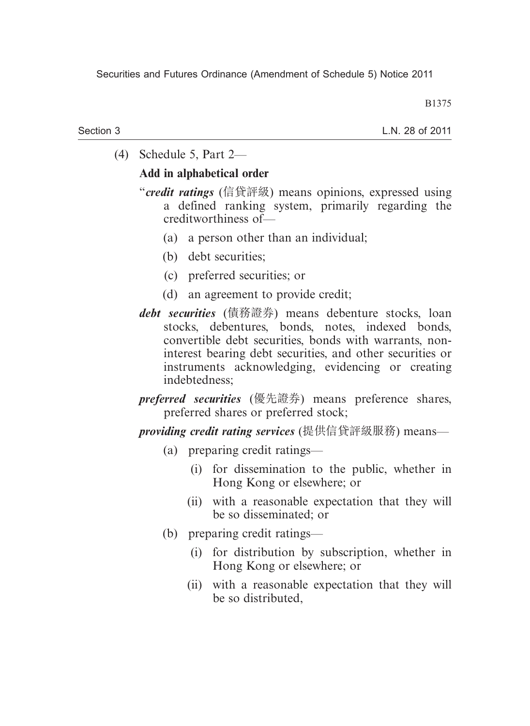B1375

#### Section 3

L.N. 28 of 2011

(4) Schedule 5, Part 2—

#### **Add in alphabetical order**

- "*credit ratings* (信貸評級) means opinions, expressed using a defined ranking system, primarily regarding the creditworthiness of—
	- (a) a person other than an individual;
	- (b) debt securities;
	- (c) preferred securities; or
	- (d) an agreement to provide credit;
- *debt securities* (債務證券) means debenture stocks, loan stocks, debentures, bonds, notes, indexed bonds, convertible debt securities, bonds with warrants, noninterest bearing debt securities, and other securities or instruments acknowledging, evidencing or creating indebtedness;
- *preferred securities* (優先證券) means preference shares, preferred shares or preferred stock;

*providing credit rating services* (提供信貸評級服務) means—

- (a) preparing credit ratings—
	- (i) for dissemination to the public, whether in Hong Kong or elsewhere; or
	- (ii) with a reasonable expectation that they will be so disseminated; or
- (b) preparing credit ratings—
	- (i) for distribution by subscription, whether in Hong Kong or elsewhere; or
	- (ii) with a reasonable expectation that they will be so distributed,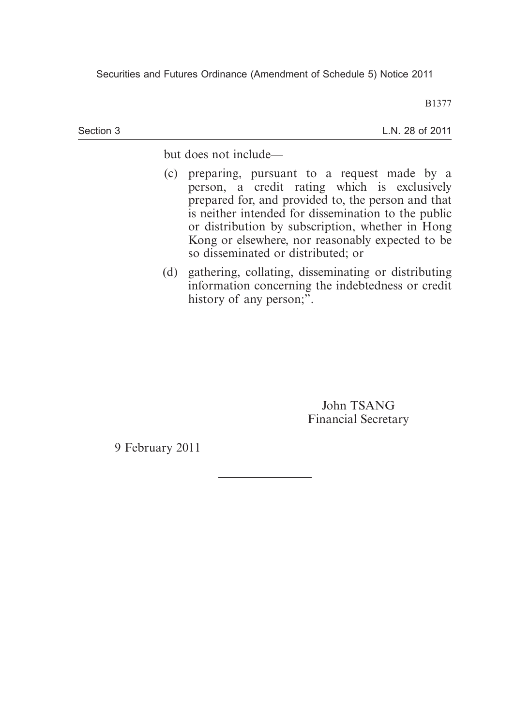Securities and Futures Ordinance (Amendment of Schedule 5) Notice 2011

B1377

Section 3

L.N. 28 of 2011

but does not include—

- (c) preparing, pursuant to a request made by a person, a credit rating which is exclusively prepared for, and provided to, the person and that is neither intended for dissemination to the public or distribution by subscription, whether in Hong Kong or elsewhere, nor reasonably expected to be so disseminated or distributed; or
- (d) gathering, collating, disseminating or distributing information concerning the indebtedness or credit history of any person;".

John TSANG Financial Secretary

9 February 2011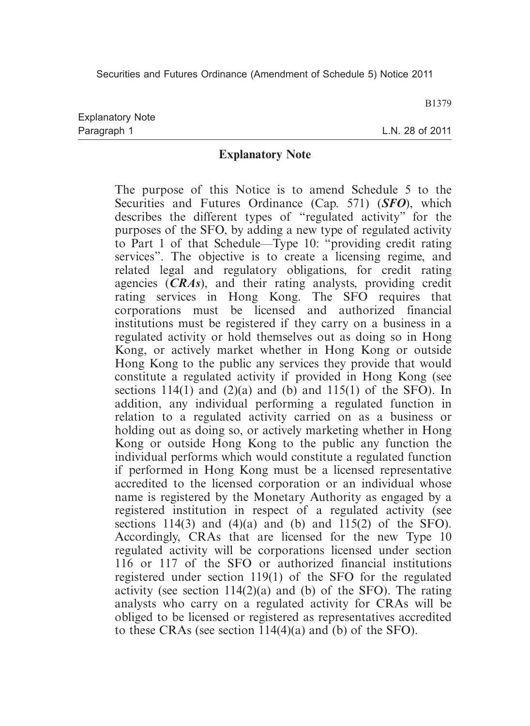B1379

L.N. 28 of 2011

#### **Explanatory Note**

The purpose of this Notice is to amend Schedule 5 to the Securities and Futures Ordinance (Cap. 571) (*SFO*), which describes the different types of "regulated activity" for the purposes of the SFO, by adding a new type of regulated activity to Part 1 of that Schedule—Type 10: "providing credit rating services". The objective is to create a licensing regime, and related legal and regulatory obligations, for credit rating agencies (*CRAs*), and their rating analysts, providing credit rating services in Hong Kong. The SFO requires that corporations must be licensed and authorized financial institutions must be registered if they carry on a business in a regulated activity or hold themselves out as doing so in Hong Kong, or actively market whether in Hong Kong or outside Hong Kong to the public any services they provide that would constitute a regulated activity if provided in Hong Kong (see sections  $114(1)$  and  $(2)(a)$  and  $(b)$  and  $115(1)$  of the SFO). In addition, any individual performing a regulated function in relation to a regulated activity carried on as a business or holding out as doing so, or actively marketing whether in Hong Kong or outside Hong Kong to the public any function the individual performs which would constitute a regulated function if performed in Hong Kong must be a licensed representative accredited to the licensed corporation or an individual whose name is registered by the Monetary Authority as engaged by a registered institution in respect of a regulated activity (see sections 114(3) and (4)(a) and (b) and 115(2) of the SFO). Accordingly, CRAs that are licensed for the new Type 10 regulated activity will be corporations licensed under section 116 or 117 of the SFO or authorized financial institutions registered under section 119(1) of the SFO for the regulated activity (see section  $114(2)(a)$  and (b) of the SFO). The rating analysts who carry on a regulated activity for CRAs will be obliged to be licensed or registered as representatives accredited to these CRAs (see section  $114(4)(a)$  and (b) of the SFO).